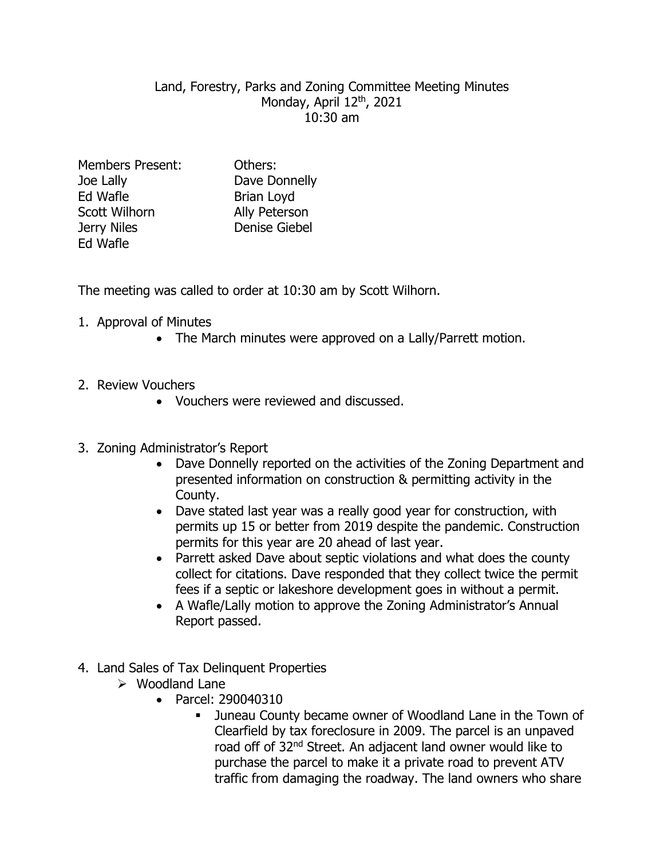## Land, Forestry, Parks and Zoning Committee Meeting Minutes Monday, April 12<sup>th</sup>, 2021 10:30 am

| <b>Members Present:</b> | Others:              |
|-------------------------|----------------------|
| Joe Lally               | Dave Donnelly        |
| Ed Wafle                | Brian Loyd           |
| Scott Wilhorn           | Ally Peterson        |
| Jerry Niles             | <b>Denise Giebel</b> |
| Ed Wafle                |                      |

The meeting was called to order at 10:30 am by Scott Wilhorn.

- 1. Approval of Minutes
	- The March minutes were approved on a Lally/Parrett motion.
- 2. Review Vouchers
	- Vouchers were reviewed and discussed.
- 3. Zoning Administrator's Report
	- Dave Donnelly reported on the activities of the Zoning Department and presented information on construction & permitting activity in the County.
	- Dave stated last year was a really good year for construction, with permits up 15 or better from 2019 despite the pandemic. Construction permits for this year are 20 ahead of last year.
	- Parrett asked Dave about septic violations and what does the county collect for citations. Dave responded that they collect twice the permit fees if a septic or lakeshore development goes in without a permit.
	- A Wafle/Lally motion to approve the Zoning Administrator's Annual Report passed.
- 4. Land Sales of Tax Delinquent Properties
	- $\triangleright$  Woodland Lane
		- Parcel: 290040310
			- Juneau County became owner of Woodland Lane in the Town of Clearfield by tax foreclosure in 2009. The parcel is an unpaved road off of 32nd Street. An adjacent land owner would like to purchase the parcel to make it a private road to prevent ATV traffic from damaging the roadway. The land owners who share